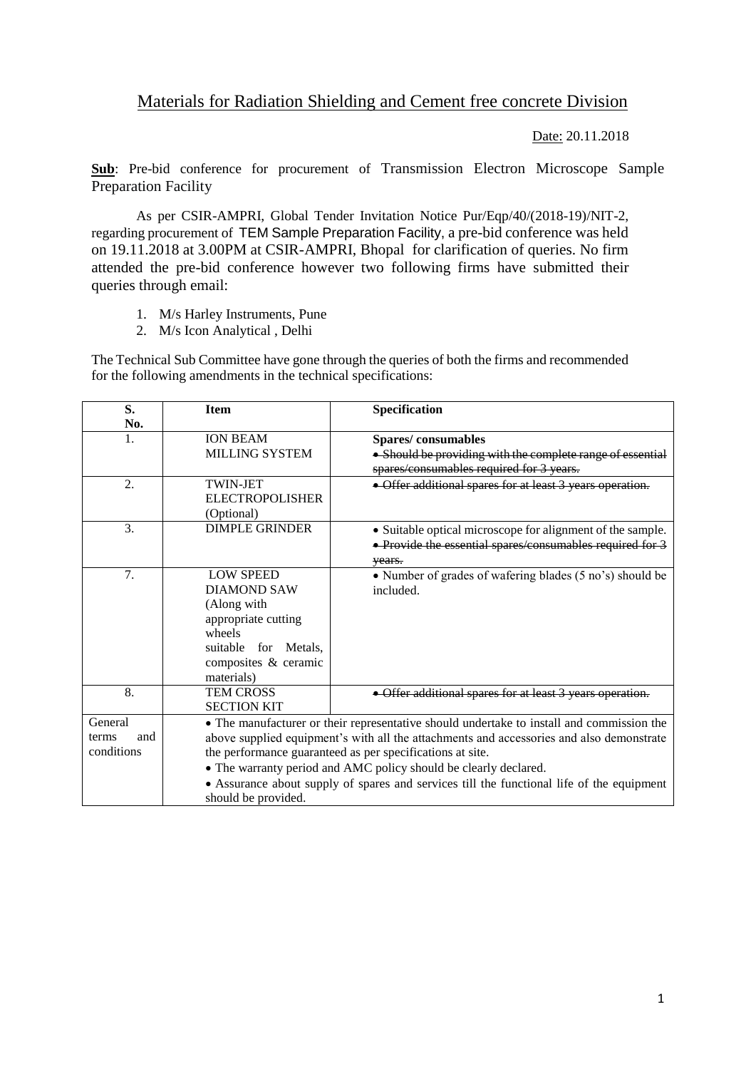## Materials for Radiation Shielding and Cement free concrete Division

Date: 20.11.2018

**Sub**: Pre-bid conference for procurement of Transmission Electron Microscope Sample Preparation Facility

As per CSIR-AMPRI, Global Tender Invitation Notice Pur/Eqp/40/(2018-19)/NIT-2, regarding procurement of TEM Sample Preparation Facility, a pre-bid conference was held on 19.11.2018 at 3.00PM at CSIR-AMPRI, Bhopal for clarification of queries. No firm attended the pre-bid conference however two following firms have submitted their queries through email:

- 1. M/s Harley Instruments, Pune
- 2. M/s Icon Analytical , Delhi

The Technical Sub Committee have gone through the queries of both the firms and recommended for the following amendments in the technical specifications:

| S.           | <b>Item</b>                                                                               | Specification                                                                                                                 |  |  |
|--------------|-------------------------------------------------------------------------------------------|-------------------------------------------------------------------------------------------------------------------------------|--|--|
| No.          |                                                                                           |                                                                                                                               |  |  |
| 1.           | <b>ION BEAM</b>                                                                           | Spares/consumables                                                                                                            |  |  |
|              | <b>MILLING SYSTEM</b>                                                                     | • Should be providing with the complete range of essential                                                                    |  |  |
|              |                                                                                           | spares/consumables required for 3 years.                                                                                      |  |  |
| 2.           | <b>TWIN-JET</b>                                                                           | • Offer additional spares for at least 3 years operation.                                                                     |  |  |
|              | <b>ELECTROPOLISHER</b>                                                                    |                                                                                                                               |  |  |
|              | (Optional)                                                                                |                                                                                                                               |  |  |
| 3.           | <b>DIMPLE GRINDER</b>                                                                     | • Suitable optical microscope for alignment of the sample.                                                                    |  |  |
|              |                                                                                           | • Provide the essential spares/consumables required for 3                                                                     |  |  |
|              |                                                                                           | vears.                                                                                                                        |  |  |
| 7.           | <b>LOW SPEED</b>                                                                          | • Number of grades of wafering blades (5 no's) should be                                                                      |  |  |
|              | <b>DIAMOND SAW</b>                                                                        | included.                                                                                                                     |  |  |
|              | (Along with                                                                               |                                                                                                                               |  |  |
|              | appropriate cutting                                                                       |                                                                                                                               |  |  |
|              | wheels                                                                                    |                                                                                                                               |  |  |
|              | suitable for Metals,                                                                      |                                                                                                                               |  |  |
|              | composites & ceramic                                                                      |                                                                                                                               |  |  |
|              | materials)                                                                                |                                                                                                                               |  |  |
| 8.           | <b>TEM CROSS</b>                                                                          | • Offer additional spares for at least 3 years operation.                                                                     |  |  |
|              | <b>SECTION KIT</b>                                                                        |                                                                                                                               |  |  |
| General      |                                                                                           | • The manufacturer or their representative should undertake to install and commission the                                     |  |  |
| and<br>terms | above supplied equipment's with all the attachments and accessories and also demonstrate  |                                                                                                                               |  |  |
| conditions   |                                                                                           | the performance guaranteed as per specifications at site.<br>• The warranty period and AMC policy should be clearly declared. |  |  |
|              |                                                                                           |                                                                                                                               |  |  |
|              | • Assurance about supply of spares and services till the functional life of the equipment |                                                                                                                               |  |  |
|              | should be provided.                                                                       |                                                                                                                               |  |  |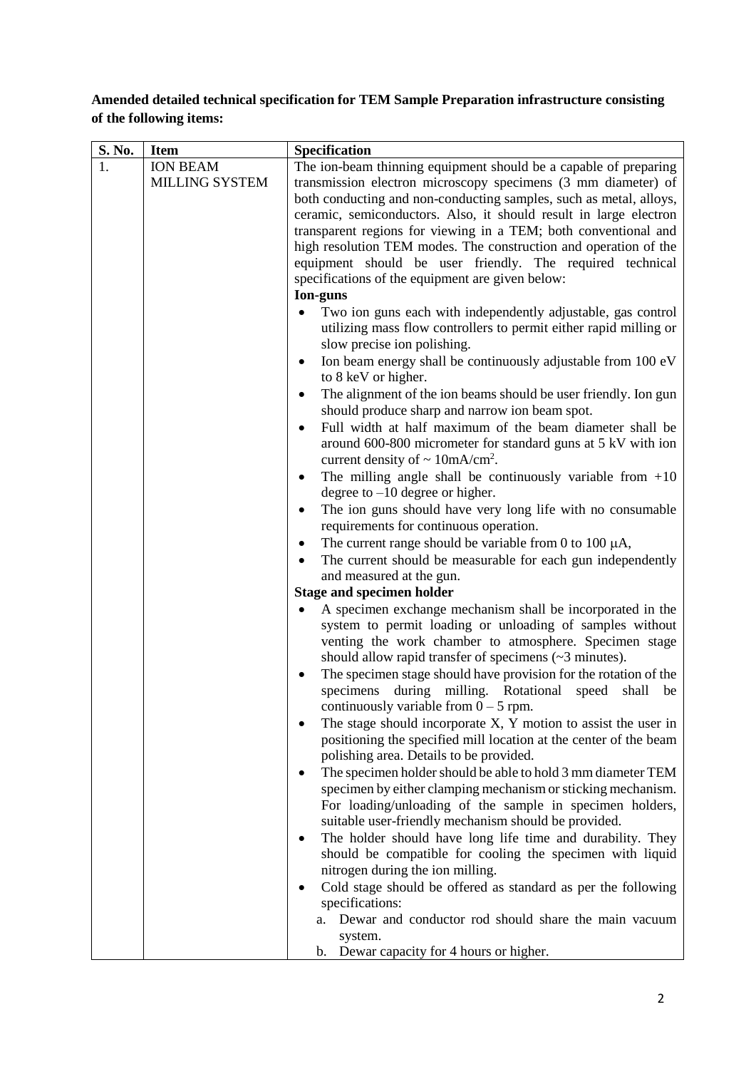## **Amended detailed technical specification for TEM Sample Preparation infrastructure consisting of the following items:**

| S. No. | <b>Item</b>                              | Specification                                                                                                                                                                                                                                                                  |
|--------|------------------------------------------|--------------------------------------------------------------------------------------------------------------------------------------------------------------------------------------------------------------------------------------------------------------------------------|
|        | <b>ION BEAM</b><br><b>MILLING SYSTEM</b> | The ion-beam thinning equipment should be a capable of preparing<br>transmission electron microscopy specimens (3 mm diameter) of                                                                                                                                              |
|        |                                          | both conducting and non-conducting samples, such as metal, alloys,<br>ceramic, semiconductors. Also, it should result in large electron<br>transparent regions for viewing in a TEM; both conventional and<br>high resolution TEM modes. The construction and operation of the |
|        |                                          | equipment should be user friendly. The required technical<br>specifications of the equipment are given below:                                                                                                                                                                  |
|        |                                          | Ion-guns<br>Two ion guns each with independently adjustable, gas control<br>utilizing mass flow controllers to permit either rapid milling or<br>slow precise ion polishing.                                                                                                   |
|        |                                          | Ion beam energy shall be continuously adjustable from 100 eV<br>$\bullet$<br>to 8 keV or higher.                                                                                                                                                                               |
|        |                                          | The alignment of the ion beams should be user friendly. Ion gun<br>$\bullet$<br>should produce sharp and narrow ion beam spot.                                                                                                                                                 |
|        |                                          | Full width at half maximum of the beam diameter shall be<br>$\bullet$<br>around 600-800 micrometer for standard guns at 5 kV with ion<br>current density of $\sim 10 \text{mA/cm}^2$ .                                                                                         |
|        |                                          | The milling angle shall be continuously variable from $+10$<br>٠<br>degree to $-10$ degree or higher.                                                                                                                                                                          |
|        |                                          | The ion guns should have very long life with no consumable<br>٠<br>requirements for continuous operation.                                                                                                                                                                      |
|        |                                          | The current range should be variable from 0 to 100 $\mu$ A,<br>٠<br>The current should be measurable for each gun independently                                                                                                                                                |
|        |                                          | and measured at the gun.<br><b>Stage and specimen holder</b>                                                                                                                                                                                                                   |
|        |                                          | A specimen exchange mechanism shall be incorporated in the                                                                                                                                                                                                                     |
|        |                                          | system to permit loading or unloading of samples without<br>venting the work chamber to atmosphere. Specimen stage<br>should allow rapid transfer of specimens $(\sim 3 \text{ minutes})$ .                                                                                    |
|        |                                          | The specimen stage should have provision for the rotation of the<br>٠<br>specimens<br>during milling. Rotational<br>shall<br>speed<br>be<br>continuously variable from $0 - 5$ rpm.                                                                                            |
|        |                                          | The stage should incorporate $X$ , $Y$ motion to assist the user in<br>٠<br>positioning the specified mill location at the center of the beam                                                                                                                                  |
|        |                                          | polishing area. Details to be provided.<br>The specimen holder should be able to hold 3 mm diameter TEM<br>٠<br>specimen by either clamping mechanism or sticking mechanism.                                                                                                   |
|        |                                          | For loading/unloading of the sample in specimen holders,<br>suitable user-friendly mechanism should be provided.                                                                                                                                                               |
|        |                                          | The holder should have long life time and durability. They<br>٠<br>should be compatible for cooling the specimen with liquid<br>nitrogen during the ion milling.                                                                                                               |
|        |                                          | Cold stage should be offered as standard as per the following<br>specifications:                                                                                                                                                                                               |
|        |                                          | Dewar and conductor rod should share the main vacuum<br>a.<br>system.                                                                                                                                                                                                          |
|        |                                          | b. Dewar capacity for 4 hours or higher.                                                                                                                                                                                                                                       |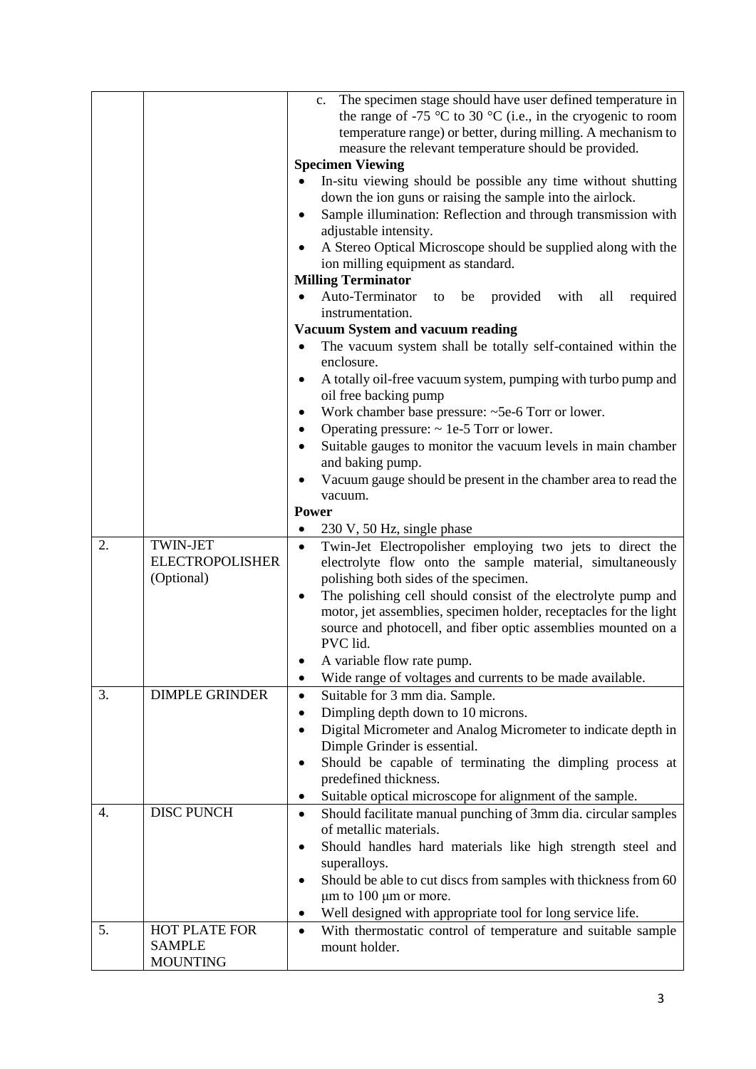|    |                                           | The specimen stage should have user defined temperature in<br>$c_{\cdot}$                                                                      |
|----|-------------------------------------------|------------------------------------------------------------------------------------------------------------------------------------------------|
|    |                                           | the range of -75 $\degree$ C to 30 $\degree$ C (i.e., in the cryogenic to room<br>temperature range) or better, during milling. A mechanism to |
|    |                                           | measure the relevant temperature should be provided.                                                                                           |
|    |                                           | <b>Specimen Viewing</b>                                                                                                                        |
|    |                                           | In-situ viewing should be possible any time without shutting                                                                                   |
|    |                                           | down the ion guns or raising the sample into the airlock.                                                                                      |
|    |                                           | Sample illumination: Reflection and through transmission with<br>$\bullet$                                                                     |
|    |                                           | adjustable intensity.                                                                                                                          |
|    |                                           | A Stereo Optical Microscope should be supplied along with the<br>$\bullet$                                                                     |
|    |                                           | ion milling equipment as standard.<br><b>Milling Terminator</b>                                                                                |
|    |                                           | Auto-Terminator<br>be provided with<br>all<br>required<br>to                                                                                   |
|    |                                           | instrumentation.                                                                                                                               |
|    |                                           | <b>Vacuum System and vacuum reading</b>                                                                                                        |
|    |                                           | The vacuum system shall be totally self-contained within the<br>$\bullet$                                                                      |
|    |                                           | enclosure.                                                                                                                                     |
|    |                                           | A totally oil-free vacuum system, pumping with turbo pump and<br>$\bullet$                                                                     |
|    |                                           | oil free backing pump                                                                                                                          |
|    |                                           | Work chamber base pressure: ~5e-6 Torr or lower.<br>٠                                                                                          |
|    |                                           | Operating pressure: $\sim$ 1e-5 Torr or lower.<br>$\bullet$<br>Suitable gauges to monitor the vacuum levels in main chamber<br>$\bullet$       |
|    |                                           | and baking pump.                                                                                                                               |
|    |                                           | Vacuum gauge should be present in the chamber area to read the                                                                                 |
|    |                                           | vacuum.                                                                                                                                        |
|    |                                           | <b>Power</b>                                                                                                                                   |
|    |                                           | 230 V, 50 Hz, single phase<br>$\bullet$                                                                                                        |
| 2. | <b>TWIN-JET</b><br><b>ELECTROPOLISHER</b> | Twin-Jet Electropolisher employing two jets to direct the<br>$\bullet$                                                                         |
|    | (Optional)                                | electrolyte flow onto the sample material, simultaneously<br>polishing both sides of the specimen.                                             |
|    |                                           | The polishing cell should consist of the electrolyte pump and<br>$\bullet$                                                                     |
|    |                                           | motor, jet assemblies, specimen holder, receptacles for the light                                                                              |
|    |                                           | source and photocell, and fiber optic assemblies mounted on a                                                                                  |
|    |                                           | PVC lid.                                                                                                                                       |
|    |                                           | A variable flow rate pump.                                                                                                                     |
|    |                                           | Wide range of voltages and currents to be made available.<br>$\bullet$                                                                         |
| 3. | <b>DIMPLE GRINDER</b>                     | Suitable for 3 mm dia. Sample.<br>$\bullet$                                                                                                    |
|    |                                           | Dimpling depth down to 10 microns.<br>$\bullet$<br>$\bullet$                                                                                   |
|    |                                           | Digital Micrometer and Analog Micrometer to indicate depth in<br>Dimple Grinder is essential.                                                  |
|    |                                           | Should be capable of terminating the dimpling process at<br>$\bullet$                                                                          |
|    |                                           | predefined thickness.                                                                                                                          |
|    |                                           | Suitable optical microscope for alignment of the sample.<br>٠                                                                                  |
| 4. | <b>DISC PUNCH</b>                         | Should facilitate manual punching of 3mm dia. circular samples<br>$\bullet$                                                                    |
|    |                                           | of metallic materials.                                                                                                                         |
|    |                                           | Should handles hard materials like high strength steel and<br>$\bullet$                                                                        |
|    |                                           | superalloys.                                                                                                                                   |
|    |                                           | Should be able to cut discs from samples with thickness from 60<br>$\bullet$                                                                   |
|    |                                           |                                                                                                                                                |
|    |                                           | $\mu$ m to 100 $\mu$ m or more.<br>$\bullet$                                                                                                   |
| 5. | HOT PLATE FOR                             | Well designed with appropriate tool for long service life.<br>$\bullet$                                                                        |
|    | <b>SAMPLE</b>                             | With thermostatic control of temperature and suitable sample<br>mount holder.                                                                  |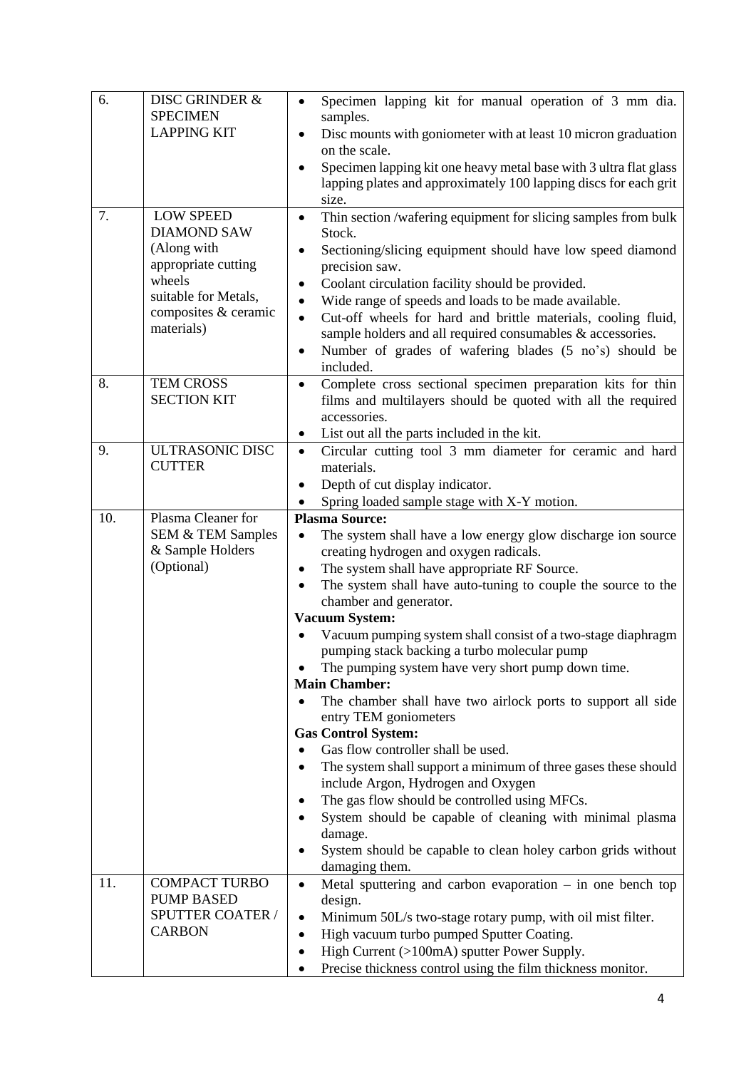| 6.  | DISC GRINDER &               | Specimen lapping kit for manual operation of 3 mm dia.<br>$\bullet$                   |
|-----|------------------------------|---------------------------------------------------------------------------------------|
|     | <b>SPECIMEN</b>              | samples.                                                                              |
|     | <b>LAPPING KIT</b>           | Disc mounts with goniometer with at least 10 micron graduation<br>$\bullet$           |
|     |                              | on the scale.                                                                         |
|     |                              | Specimen lapping kit one heavy metal base with 3 ultra flat glass<br>$\bullet$        |
|     |                              | lapping plates and approximately 100 lapping discs for each grit<br>size.             |
| 7.  | <b>LOW SPEED</b>             | Thin section /wafering equipment for slicing samples from bulk<br>$\bullet$           |
|     | <b>DIAMOND SAW</b>           | Stock.                                                                                |
|     | (Along with                  | Sectioning/slicing equipment should have low speed diamond<br>$\bullet$               |
|     | appropriate cutting          | precision saw.                                                                        |
|     | wheels                       | Coolant circulation facility should be provided.<br>٠                                 |
|     | suitable for Metals,         | Wide range of speeds and loads to be made available.<br>$\bullet$                     |
|     | composites & ceramic         | Cut-off wheels for hard and brittle materials, cooling fluid,<br>$\bullet$            |
|     | materials)                   | sample holders and all required consumables & accessories.                            |
|     |                              | Number of grades of wafering blades (5 no's) should be<br>$\bullet$                   |
|     |                              | included.                                                                             |
| 8.  | <b>TEM CROSS</b>             | Complete cross sectional specimen preparation kits for thin<br>$\bullet$              |
|     | <b>SECTION KIT</b>           | films and multilayers should be quoted with all the required<br>accessories.          |
|     |                              | List out all the parts included in the kit.<br>٠                                      |
| 9.  | ULTRASONIC DISC              | Circular cutting tool 3 mm diameter for ceramic and hard<br>$\bullet$                 |
|     | <b>CUTTER</b>                | materials.                                                                            |
|     |                              | Depth of cut display indicator.<br>٠                                                  |
|     |                              | Spring loaded sample stage with X-Y motion.                                           |
| 10. | Plasma Cleaner for           | <b>Plasma Source:</b>                                                                 |
|     | <b>SEM &amp; TEM Samples</b> | The system shall have a low energy glow discharge ion source<br>$\bullet$             |
|     | & Sample Holders             | creating hydrogen and oxygen radicals.                                                |
|     | (Optional)                   | The system shall have appropriate RF Source.<br>$\bullet$                             |
|     |                              | The system shall have auto-tuning to couple the source to the<br>$\bullet$            |
|     |                              | chamber and generator.                                                                |
|     |                              | <b>Vacuum System:</b><br>Vacuum pumping system shall consist of a two-stage diaphragm |
|     |                              | pumping stack backing a turbo molecular pump                                          |
|     |                              | The pumping system have very short pump down time.                                    |
|     |                              | <b>Main Chamber:</b>                                                                  |
|     |                              | The chamber shall have two airlock ports to support all side                          |
|     |                              | entry TEM goniometers                                                                 |
|     |                              | <b>Gas Control System:</b>                                                            |
|     |                              | Gas flow controller shall be used.                                                    |
|     |                              | The system shall support a minimum of three gases these should<br>٠                   |
|     |                              | include Argon, Hydrogen and Oxygen                                                    |
|     |                              | The gas flow should be controlled using MFCs.<br>$\bullet$                            |
|     |                              | System should be capable of cleaning with minimal plasma<br>$\bullet$<br>damage.      |
|     |                              | System should be capable to clean holey carbon grids without                          |
|     |                              | damaging them.                                                                        |
| 11. | <b>COMPACT TURBO</b>         | Metal sputtering and carbon evaporation $-$ in one bench top<br>$\bullet$             |
|     | <b>PUMP BASED</b>            | design.                                                                               |
|     | SPUTTER COATER /             | Minimum 50L/s two-stage rotary pump, with oil mist filter.<br>$\bullet$               |
|     | <b>CARBON</b>                | High vacuum turbo pumped Sputter Coating.<br>$\bullet$                                |
|     |                              | High Current (>100mA) sputter Power Supply.<br>٠                                      |
|     |                              | Precise thickness control using the film thickness monitor.                           |